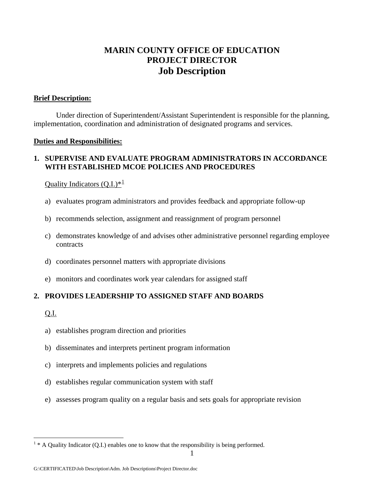# **MARIN COUNTY OFFICE OF EDUCATION PROJECT DIRECTOR Job Description**

#### **Brief Description:**

 Under direction of Superintendent/Assistant Superintendent is responsible for the planning, implementation, coordination and administration of designated programs and services.

#### **Duties and Responsibilities:**

#### **1. SUPERVISE AND EVALUATE PROGRAM ADMINISTRATORS IN ACCORDANCE WITH ESTABLISHED MCOE POLICIES AND PROCEDURES**

#### Ouality Indicators  $(O,I.)^{*1}$  $(O,I.)^{*1}$  $(O,I.)^{*1}$

- a) evaluates program administrators and provides feedback and appropriate follow-up
- b) recommends selection, assignment and reassignment of program personnel
- c) demonstrates knowledge of and advises other administrative personnel regarding employee contracts
- d) coordinates personnel matters with appropriate divisions
- e) monitors and coordinates work year calendars for assigned staff

## **2. PROVIDES LEADERSHIP TO ASSIGNED STAFF AND BOARDS**

#### Q.I.

<u>.</u>

- a) establishes program direction and priorities
- b) disseminates and interprets pertinent program information
- c) interprets and implements policies and regulations
- d) establishes regular communication system with staff
- e) assesses program quality on a regular basis and sets goals for appropriate revision

<span id="page-0-0"></span> $1 * A$  Quality Indicator (Q.I.) enables one to know that the responsibility is being performed.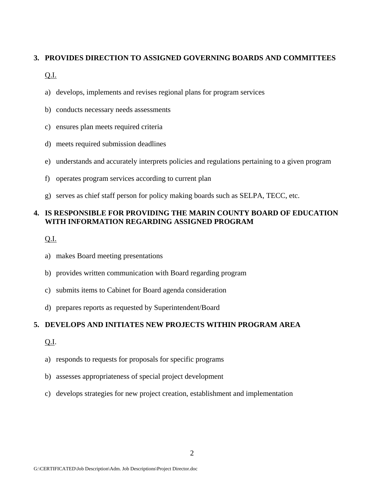#### **3. PROVIDES DIRECTION TO ASSIGNED GOVERNING BOARDS AND COMMITTEES**

#### Q.I.

- a) develops, implements and revises regional plans for program services
- b) conducts necessary needs assessments
- c) ensures plan meets required criteria
- d) meets required submission deadlines
- e) understands and accurately interprets policies and regulations pertaining to a given program
- f) operates program services according to current plan
- g) serves as chief staff person for policy making boards such as SELPA, TECC, etc.

## **4. IS RESPONSIBLE FOR PROVIDING THE MARIN COUNTY BOARD OF EDUCATION WITH INFORMATION REGARDING ASSIGNED PROGRAM**

Q.I.

- a) makes Board meeting presentations
- b) provides written communication with Board regarding program
- c) submits items to Cabinet for Board agenda consideration
- d) prepares reports as requested by Superintendent/Board

## **5. DEVELOPS AND INITIATES NEW PROJECTS WITHIN PROGRAM AREA**

## Q.I.

- a) responds to requests for proposals for specific programs
- b) assesses appropriateness of special project development
- c) develops strategies for new project creation, establishment and implementation